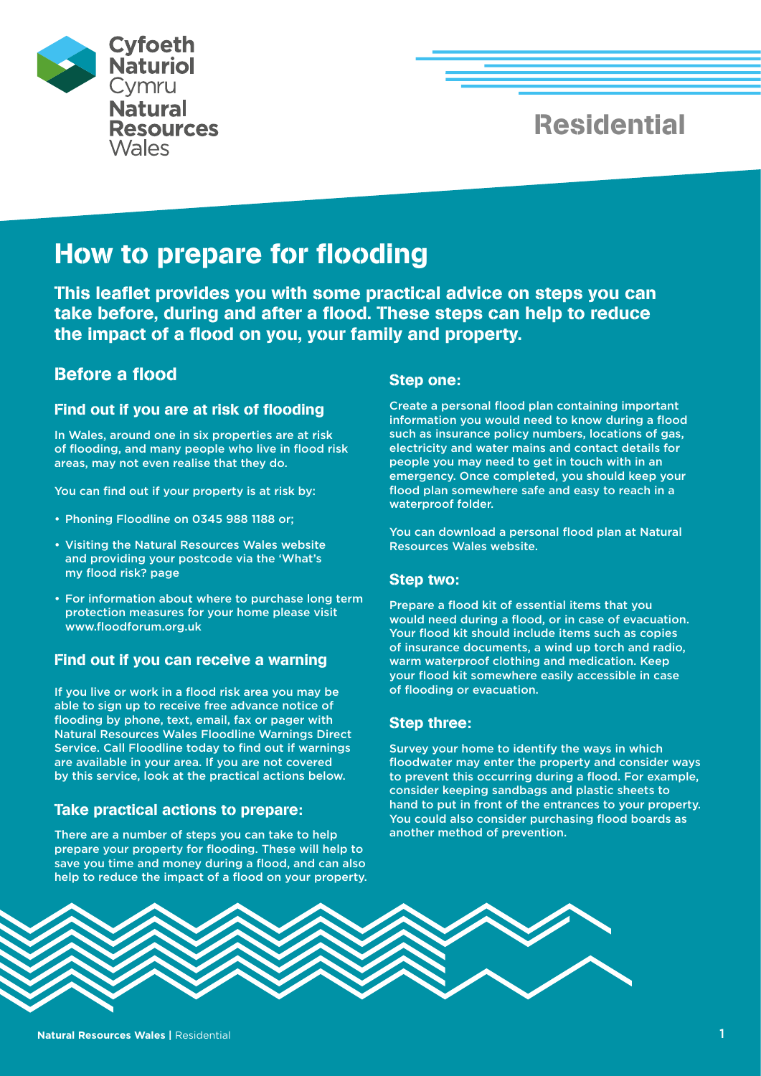

# Residential

# How to prepare for flooding

This leaflet provides you with some practical advice on steps you can take before, during and after a flood. These steps can help to reduce the impact of a flood on you, your family and property.

## Before a flood

#### Find out if you are at risk of flooding

In Wales, around one in six properties are at risk of flooding, and many people who live in flood risk areas, may not even realise that they do.

You can find out if your property is at risk by:

- Phoning Floodline on 0345 988 1188 or;
- Visiting the Natural Resources Wales website and providing your postcode via the 'What's my flood risk? page
- For information about where to purchase long term protection measures for your home please visit www.floodforum.org.uk

## Find out if you can receive a warning

If you live or work in a flood risk area you may be able to sign up to receive free advance notice of flooding by phone, text, email, fax or pager with Natural Resources Wales Floodline Warnings Direct Service. Call Floodline today to find out if warnings are available in your area. If you are not covered by this service, look at the practical actions below.

### Take practical actions to prepare:

There are a number of steps you can take to help prepare your property for flooding. These will help to save you time and money during a flood, and can also help to reduce the impact of a flood on your property.

#### Step one:

Create a personal flood plan containing important information you would need to know during a flood such as insurance policy numbers, locations of gas, electricity and water mains and contact details for people you may need to get in touch with in an emergency. Once completed, you should keep your flood plan somewhere safe and easy to reach in a waterproof folder.

You can download a personal flood plan at Natural Resources Wales website.

### Step two:

Prepare a flood kit of essential items that you would need during a flood, or in case of evacuation. Your flood kit should include items such as copies of insurance documents, a wind up torch and radio, warm waterproof clothing and medication. Keep your flood kit somewhere easily accessible in case of flooding or evacuation.

### Step three:

Survey your home to identify the ways in which floodwater may enter the property and consider ways to prevent this occurring during a flood. For example, consider keeping sandbags and plastic sheets to hand to put in front of the entrances to your property. You could also consider purchasing flood boards as another method of prevention.